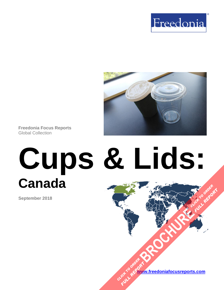



**Freedonia Focus Reports** Global Collection

# **Cups & Lids: Canada FULL REPORT**

**September 2018**

**[www.freedoniafocusreports.com](https://www.freedoniafocusreports.com/redirect.asp?progid=89534&url=/) [BROCHURE](https://www.freedoniafocusreports.com/Cups-Lids-Canada-FA30031/?progid=89541) CLICK TO ORDER** CLICK TO ORDER **FULL REPORT**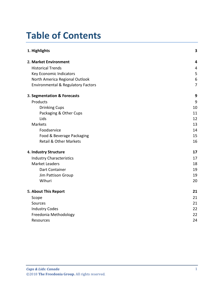# **Table of Contents**

| 1. Highlights                                 | $\overline{\mathbf{3}}$ |
|-----------------------------------------------|-------------------------|
| 2. Market Environment                         | $\overline{4}$          |
| <b>Historical Trends</b>                      | $\overline{4}$          |
| Key Economic Indicators                       | 5                       |
| North America Regional Outlook                | 6                       |
| <b>Environmental &amp; Regulatory Factors</b> | $\overline{7}$          |
| 3. Segmentation & Forecasts                   | 9                       |
| Products                                      | 9                       |
| <b>Drinking Cups</b>                          | 10                      |
| Packaging & Other Cups                        | 11                      |
| Lids                                          | 12                      |
| Markets                                       | 13                      |
| Foodservice                                   | 14                      |
| Food & Beverage Packaging                     | 15                      |
| <b>Retail &amp; Other Markets</b>             | 16                      |
| 4. Industry Structure                         | 17                      |
| <b>Industry Characteristics</b>               | 17                      |
| <b>Market Leaders</b>                         | 18                      |
| Dart Container                                | 19                      |
| Jim Pattison Group                            | 19                      |
| Wihuri                                        | 20                      |
| 5. About This Report                          | 21                      |
| Scope                                         | 21                      |
| Sources                                       | 21                      |
| <b>Industry Codes</b>                         | 22                      |
| Freedonia Methodology                         | 22                      |
| Resources                                     | 24                      |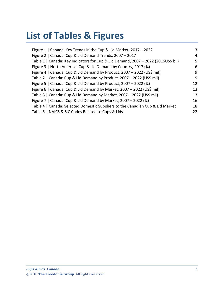# **List of Tables & Figures**

| Figure 1   Canada: Key Trends in the Cup & Lid Market, 2017 - 2022                | 3  |
|-----------------------------------------------------------------------------------|----|
| Figure 2   Canada: Cup & Lid Demand Trends, 2007 - 2017                           | 4  |
| Table 1   Canada: Key Indicators for Cup & Lid Demand, 2007 - 2022 (2016US\$ bil) | 5  |
| Figure 3   North America: Cup & Lid Demand by Country, 2017 (%)                   | 6  |
| Figure 4   Canada: Cup & Lid Demand by Product, 2007 - 2022 (US\$ mil)            | 9  |
| Table 2   Canada: Cup & Lid Demand by Product, 2007 - 2022 (US\$ mil)             | 9  |
| Figure 5   Canada: Cup & Lid Demand by Product, 2007 - 2022 (%)                   | 12 |
| Figure 6   Canada: Cup & Lid Demand by Market, 2007 - 2022 (US\$ mil)             | 13 |
| Table 3   Canada: Cup & Lid Demand by Market, 2007 - 2022 (US\$ mil)              | 13 |
| Figure 7   Canada: Cup & Lid Demand by Market, 2007 - 2022 (%)                    | 16 |
| Table 4   Canada: Selected Domestic Suppliers to the Canadian Cup & Lid Market    | 18 |
| Table 5   NAICS & SIC Codes Related to Cups & Lids                                | 22 |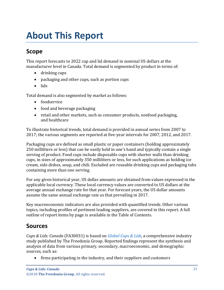# <span id="page-3-1"></span><span id="page-3-0"></span>**Scope**

This report forecasts to 2022 cup and lid demand in nominal US dollars at the manufacturer level in Canada. Total demand is segmented by product in terms of:

- drinking cups
- packaging and other cups, such as portion cups
- lids

Total demand is also segmented by market as follows:

- foodservice
- food and beverage packaging
- retail and other markets, such as consumer products, nonfood packaging, and healthcare

To illustrate historical trends, total demand is provided in annual series from 2007 to 2017; the various segments are reported at five-year intervals for 2007, 2012, and 2017.

Packaging cups are defined as small plastic or paper containers (holding approximately 250 milliliters or less) that can be easily held in one's hand and typically contain a single serving of product. Food cups include disposable cups with shorter walls than drinking cups, in sizes of approximately 350 milliliters or less, for such applications as holding ice cream, side dishes, soup, and chili. Excluded are reusable drinking cups and packaging tubs containing more than one serving.

For any given historical year, US dollar amounts are obtained from values expressed in the applicable local currency. These local currency values are converted to US dollars at the average annual exchange rate for that year. For forecast years, the US dollar amounts assume the same annual exchange rate as that prevailing in 2017.

Key macroeconomic indicators are also provided with quantified trends. Other various topics, including profiles of pertinent leading suppliers, are covered in this report. A full outline of report items by page is available in the Table of Contents.

# <span id="page-3-2"></span>**Sources**

*Cups & Lids: Canada* (FA30031) is based on *[Global Cups & Lids,](http://www.freedoniagroup.com/DocumentDetails.aspx?ReferrerId=FR-MDA&studyid=3656)* a comprehensive industry study published by The Freedonia Group. Reported findings represent the synthesis and analysis of data from various primary, secondary, macroeconomic, and demographic sources, such as:

• firms participating in the industry, and their suppliers and customers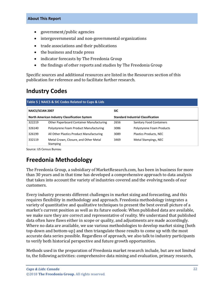- government/public agencies
- intergovernmental and non-governmental organizations
- trade associations and their publications
- the business and trade press
- indicator forecasts by The Freedonia Group
- the findings of other reports and studies by The Freedonia Group

Specific sources and additional resources are listed in the Resources section of this publication for reference and to facilitate further research.

## <span id="page-4-0"></span>**Industry Codes**

<span id="page-4-2"></span>

| Table 5   NAICS & SIC Codes Related to Cups & Lids   |                                                   |                                           |                                 |  |
|------------------------------------------------------|---------------------------------------------------|-------------------------------------------|---------------------------------|--|
| <b>NAICS/SCIAN 2007</b>                              |                                                   | <b>SIC</b>                                |                                 |  |
| <b>North American Industry Classification System</b> |                                                   | <b>Standard Industrial Classification</b> |                                 |  |
| 322219                                               | Other Paperboard Container Manufacturing          | 2656                                      | <b>Sanitary Food Containers</b> |  |
| 326140                                               | Polystyrene Foam Product Manufacturing            | 3086                                      | Polystyrene Foam Products       |  |
| 326199                                               | All Other Plastics Product Manufacturing          | 3089                                      | Plastics Products, NEC          |  |
| 332119                                               | Metal Crown, Closure, and Other Metal<br>Stamping | 3469                                      | Metal Stampings, NEC            |  |

Source: US Census Bureau

# <span id="page-4-1"></span>**Freedonia Methodology**

The Freedonia Group, a subsidiary of MarketResearch.com, has been in business for more than 30 years and in that time has developed a comprehensive approach to data analysis that takes into account the variety of industries covered and the evolving needs of our customers.

Every industry presents different challenges in market sizing and forecasting, and this requires flexibility in methodology and approach. Freedonia methodology integrates a variety of quantitative and qualitative techniques to present the best overall picture of a market's current position as well as its future outlook: When published data are available, we make sure they are correct and representative of reality. We understand that published data often have flaws either in scope or quality, and adjustments are made accordingly. Where no data are available, we use various methodologies to develop market sizing (both top-down and bottom-up) and then triangulate those results to come up with the most accurate data series possible. Regardless of approach, we also talk to industry participants to verify both historical perspective and future growth opportunities.

Methods used in the preparation of Freedonia market research include, but are not limited to, the following activities: comprehensive data mining and evaluation, primary research,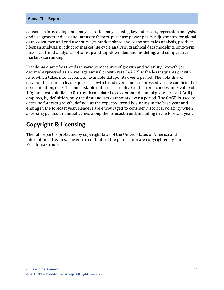consensus forecasting and analysis, ratio analysis using key indicators, regression analysis, end use growth indices and intensity factors, purchase power parity adjustments for global data, consumer and end user surveys, market share and corporate sales analysis, product lifespan analysis, product or market life cycle analysis, graphical data modeling, long-term historical trend analysis, bottom-up and top-down demand modeling, and comparative market size ranking.

Freedonia quantifies trends in various measures of growth and volatility. Growth (or decline) expressed as an average annual growth rate (AAGR) is the least squares growth rate, which takes into account all available datapoints over a period. The volatility of datapoints around a least squares growth trend over time is expressed via the coefficient of determination, or  $r^2$ . The most stable data series relative to the trend carries an  $r^2$  value of 1.0; the most volatile – 0.0. Growth calculated as a compound annual growth rate (CAGR) employs, by definition, only the first and last datapoints over a period. The CAGR is used to describe forecast growth, defined as the expected trend beginning in the base year and ending in the forecast year. Readers are encouraged to consider historical volatility when assessing particular annual values along the forecast trend, including in the forecast year.

## **Copyright & Licensing**

The full report is protected by copyright laws of the United States of America and international treaties. The entire contents of the publication are copyrighted by The Freedonia Group.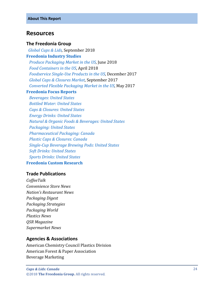### <span id="page-6-0"></span>**Resources**

#### **The Freedonia Group**

 *[Global Cups & Lids,](http://www.freedoniagroup.com/DocumentDetails.aspx?ReferrerId=FL-FOCUS&studyid=3656)* September 2018 **[Freedonia Industry Studies](http://www.freedoniagroup.com/Home.aspx?ReferrerId=FL-Focus)**  *[Produce Packaging Market in the US](http://www.freedoniagroup.com/DocumentDetails.aspx?ReferrerId=FL-FOCUS&studyid=3632)*, June 2018  *[Food Containers in the US](http://www.freedoniagroup.com/DocumentDetails.aspx?ReferrerId=FL-FOCUS&studyid=3609)*, April 2018  *[Foodservice Single-Use Products in the US](http://www.freedoniagroup.com/DocumentDetails.aspx?ReferrerId=FL-FOCUS&studyid=3543)*, December 2017  *[Global Caps & Closures Market](http://www.freedoniagroup.com/DocumentDetails.aspx?ReferrerId=FL-FOCUS&studyid=3538)*, September 2017  *[Converted Flexible Packaging Market in the US](http://www.freedoniagroup.com/DocumentDetails.aspx?ReferrerId=FL-FOCUS&studyid=3522)*, May 2017 **[Freedonia Focus Reports](https://www.freedoniafocusreports.com/redirect.asp?progid=89534&url=/)**  *[Beverages: United States](https://www.freedoniafocusreports.com/Beverages-United-States-9513075/) [Bottled Water: United States](https://www.freedoniafocusreports.com/Bottled-Water-United-States-10100424/) Caps & [Closures:](https://www.freedoniafocusreports.com/Caps-Closures-United-States-FF30012/) United States [Energy Drinks: United States](https://www.freedoniafocusreports.com/Energy-Drinks-United-States-FF10049/) [Natural & Organic Foods & Beverages: United States](https://www.freedoniafocusreports.com/Natural-Organic-Foods-Beverages-United-States-10423134/) [Packaging:](https://www.freedoniafocusreports.com/Packaging-Overview-United-States-FF30035/) United States [Pharmaceutical Packaging: Canada](https://www.freedoniafocusreports.com/Pharmaceutical-Packaging-Canada-FA30018/) [Plastic Caps & Closures: Canada](https://www.freedoniafocusreports.com/Plastic-Caps-Closures-Canada-FA30066/) [Single-Cup Beverage Brewing Pods: United States](https://www.freedoniafocusreports.com/Single-Cup-Beverage-Brewing-Pods-United-States-10288500/) [Soft Drinks: United States](https://www.freedoniafocusreports.com/Soft-Drinks-United-States-9326313/) [Sports Drinks: United States](https://www.freedoniafocusreports.com/Sports-Drinks-United-States-FF10048/)* **[Freedonia Custom Research](http://www.freedoniagroup.com/CustomResearch.aspx?ReferrerId=FL-Focus)**

#### **Trade Publications**

*CoffeeTalk Convenience Store News Nation's Restaurant News Packaging Digest Packaging Strategies Packaging World Plastics News QSR Magazine Supermarket News*

#### **Agencies & Associations**

American Chemistry Council Plastics Division American Forest & Paper Association Beverage Marketing